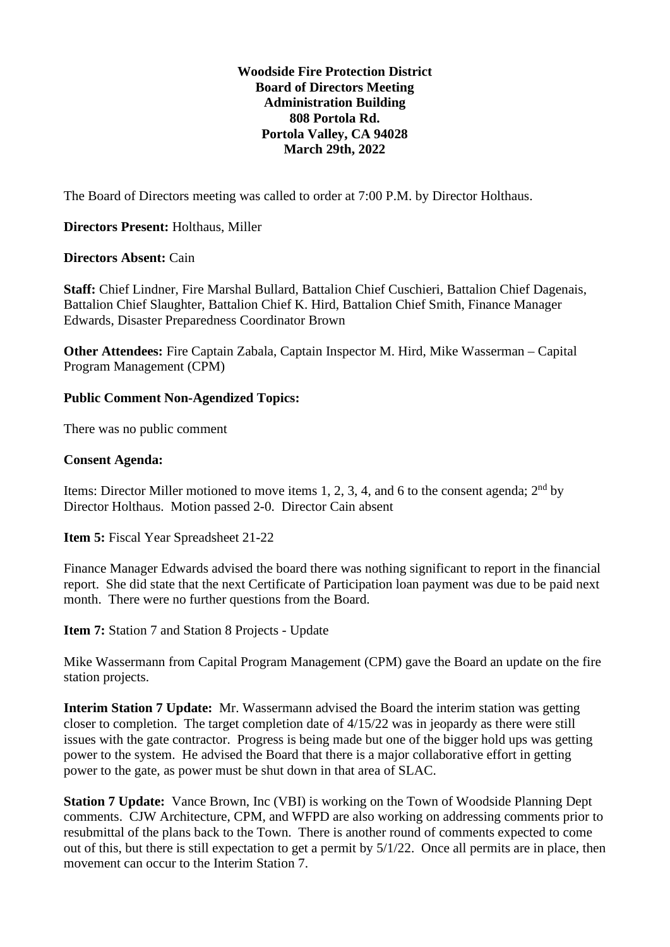#### **Woodside Fire Protection District Board of Directors Meeting Administration Building 808 Portola Rd. Portola Valley, CA 94028 March 29th, 2022**

The Board of Directors meeting was called to order at 7:00 P.M. by Director Holthaus.

#### **Directors Present:** Holthaus, Miller

#### **Directors Absent:** Cain

**Staff:** Chief Lindner, Fire Marshal Bullard, Battalion Chief Cuschieri, Battalion Chief Dagenais, Battalion Chief Slaughter, Battalion Chief K. Hird, Battalion Chief Smith, Finance Manager Edwards, Disaster Preparedness Coordinator Brown

**Other Attendees:** Fire Captain Zabala, Captain Inspector M. Hird, Mike Wasserman – Capital Program Management (CPM)

#### **Public Comment Non-Agendized Topics:**

There was no public comment

#### **Consent Agenda:**

Items: Director Miller motioned to move items 1, 2, 3, 4, and 6 to the consent agenda;  $2<sup>nd</sup>$  by Director Holthaus. Motion passed 2-0. Director Cain absent

**Item 5:** Fiscal Year Spreadsheet 21-22

Finance Manager Edwards advised the board there was nothing significant to report in the financial report. She did state that the next Certificate of Participation loan payment was due to be paid next month. There were no further questions from the Board.

**Item 7:** Station 7 and Station 8 Projects - Update

Mike Wassermann from Capital Program Management (CPM) gave the Board an update on the fire station projects.

**Interim Station 7 Update:** Mr. Wassermann advised the Board the interim station was getting closer to completion. The target completion date of 4/15/22 was in jeopardy as there were still issues with the gate contractor. Progress is being made but one of the bigger hold ups was getting power to the system. He advised the Board that there is a major collaborative effort in getting power to the gate, as power must be shut down in that area of SLAC.

**Station 7 Update:** Vance Brown, Inc (VBI) is working on the Town of Woodside Planning Dept comments. CJW Architecture, CPM, and WFPD are also working on addressing comments prior to resubmittal of the plans back to the Town. There is another round of comments expected to come out of this, but there is still expectation to get a permit by 5/1/22. Once all permits are in place, then movement can occur to the Interim Station 7.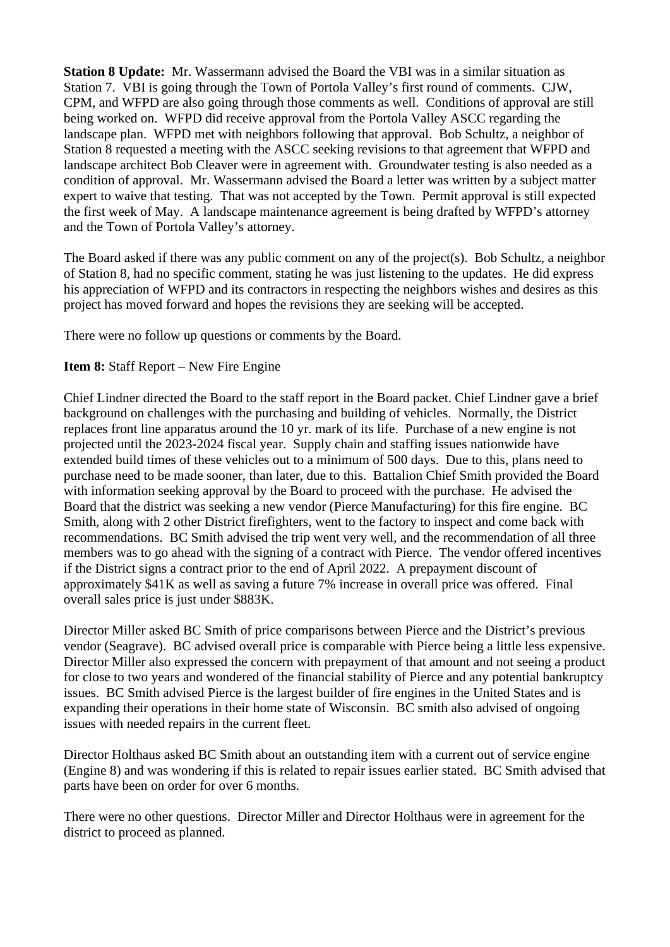**Station 8 Update:** Mr. Wassermann advised the Board the VBI was in a similar situation as Station 7. VBI is going through the Town of Portola Valley's first round of comments. CJW, CPM, and WFPD are also going through those comments as well. Conditions of approval are still being worked on. WFPD did receive approval from the Portola Valley ASCC regarding the landscape plan. WFPD met with neighbors following that approval. Bob Schultz, a neighbor of Station 8 requested a meeting with the ASCC seeking revisions to that agreement that WFPD and landscape architect Bob Cleaver were in agreement with. Groundwater testing is also needed as a condition of approval. Mr. Wassermann advised the Board a letter was written by a subject matter expert to waive that testing. That was not accepted by the Town. Permit approval is still expected the first week of May. A landscape maintenance agreement is being drafted by WFPD's attorney and the Town of Portola Valley's attorney.

The Board asked if there was any public comment on any of the project(s). Bob Schultz, a neighbor of Station 8, had no specific comment, stating he was just listening to the updates. He did express his appreciation of WFPD and its contractors in respecting the neighbors wishes and desires as this project has moved forward and hopes the revisions they are seeking will be accepted.

There were no follow up questions or comments by the Board.

## **Item 8:** Staff Report – New Fire Engine

Chief Lindner directed the Board to the staff report in the Board packet. Chief Lindner gave a brief background on challenges with the purchasing and building of vehicles. Normally, the District replaces front line apparatus around the 10 yr. mark of its life. Purchase of a new engine is not projected until the 2023-2024 fiscal year. Supply chain and staffing issues nationwide have extended build times of these vehicles out to a minimum of 500 days. Due to this, plans need to purchase need to be made sooner, than later, due to this. Battalion Chief Smith provided the Board with information seeking approval by the Board to proceed with the purchase. He advised the Board that the district was seeking a new vendor (Pierce Manufacturing) for this fire engine. BC Smith, along with 2 other District firefighters, went to the factory to inspect and come back with recommendations. BC Smith advised the trip went very well, and the recommendation of all three members was to go ahead with the signing of a contract with Pierce. The vendor offered incentives if the District signs a contract prior to the end of April 2022. A prepayment discount of approximately \$41K as well as saving a future 7% increase in overall price was offered. Final overall sales price is just under \$883K.

Director Miller asked BC Smith of price comparisons between Pierce and the District's previous vendor (Seagrave). BC advised overall price is comparable with Pierce being a little less expensive. Director Miller also expressed the concern with prepayment of that amount and not seeing a product for close to two years and wondered of the financial stability of Pierce and any potential bankruptcy issues. BC Smith advised Pierce is the largest builder of fire engines in the United States and is expanding their operations in their home state of Wisconsin. BC smith also advised of ongoing issues with needed repairs in the current fleet.

Director Holthaus asked BC Smith about an outstanding item with a current out of service engine (Engine 8) and was wondering if this is related to repair issues earlier stated. BC Smith advised that parts have been on order for over 6 months.

There were no other questions. Director Miller and Director Holthaus were in agreement for the district to proceed as planned.